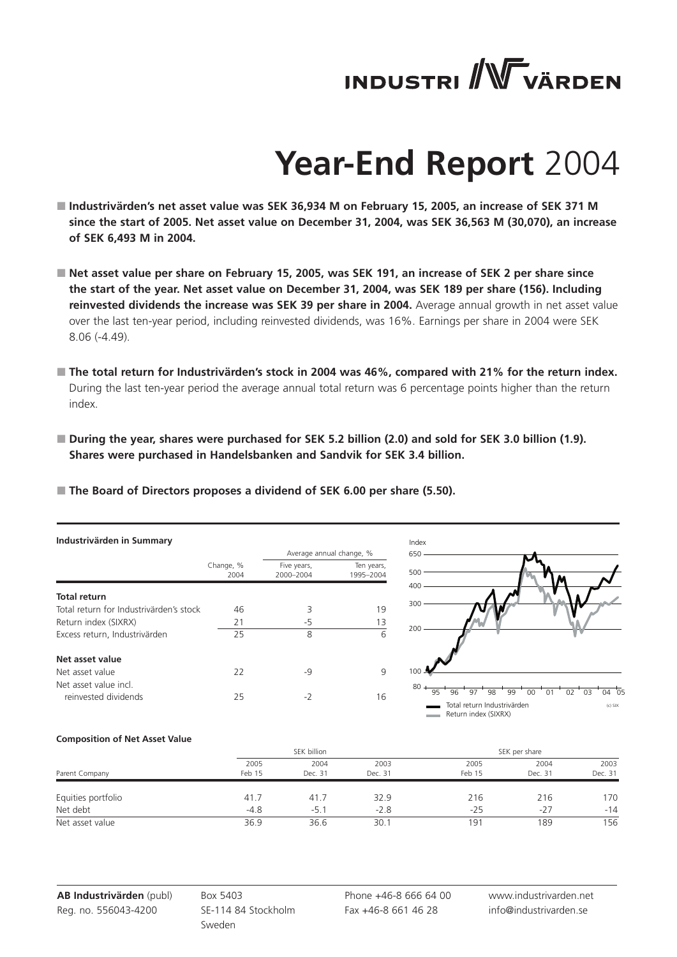# **INDUSTRI** WVÄRDEN

## **Year-End Report** 2004

- Industrivärden's net asset value was SEK 36,934 M on February 15, 2005, an increase of SEK 371 M **since the start of 2005. Net asset value on December 31, 2004, was SEK 36,563 M (30,070), an increase of SEK 6,493 M in 2004.**
- Net asset value per share on February 15, 2005, was SEK 191, an increase of SEK 2 per share since **the start of the year. Net asset value on December 31, 2004, was SEK 189 per share (156). Including reinvested dividends the increase was SEK 39 per share in 2004.** Average annual growth in net asset value over the last ten-year period, including reinvested dividends, was 16%. Earnings per share in 2004 were SEK 8.06 (-4.49).
- The total return for Industrivärden's stock in 2004 was 46%, compared with 21% for the return index. During the last ten-year period the average annual total return was 6 percentage points higher than the return index.
- **During the year, shares were purchased for SEK 5.2 billion (2.0) and sold for SEK 3.0 billion (1.9). Shares were purchased in Handelsbanken and Sandvik for SEK 3.4 billion.**
- **The Board of Directors proposes a dividend of SEK 6.00 per share (5.50).**

| Industrivärden in Summary               |                   |                                                      |                         | Index                                                                                                                                           |
|-----------------------------------------|-------------------|------------------------------------------------------|-------------------------|-------------------------------------------------------------------------------------------------------------------------------------------------|
|                                         | Change, %<br>2004 | Average annual change, %<br>Five years,<br>2000-2004 | Ten years,<br>1995-2004 | 650<br>500                                                                                                                                      |
| <b>Total return</b>                     |                   |                                                      |                         | 400                                                                                                                                             |
| Total return for Industrivärden's stock | 46                | 3                                                    | 19                      | 300                                                                                                                                             |
| Return index (SIXRX)                    | 21                | $-5$                                                 | 13                      |                                                                                                                                                 |
| Excess return, Industrivärden           | 25                | 8                                                    | 6                       | 200                                                                                                                                             |
| Net asset value                         |                   |                                                      |                         |                                                                                                                                                 |
| Net asset value                         | 22                | $-9$                                                 | 9                       | 100                                                                                                                                             |
| Net asset value incl.                   |                   |                                                      |                         | $80 +$                                                                                                                                          |
| reinvested dividends                    | 25                | $-2$                                                 | 16                      | 95<br>$04$ $0!$<br>97<br>96<br>98<br>99<br>00<br>02<br>0 <sub>3</sub><br>0.<br>Total return Industrivärden<br>$(c)$ SIX<br>Return index (SIXRX) |

#### **Composition of Net Asset Value**

|                    |                | SEK billion     |                 | SEK per share  |                 |                 |  |
|--------------------|----------------|-----------------|-----------------|----------------|-----------------|-----------------|--|
| Parent Company     | 2005<br>Feb 15 | 2004<br>Dec. 31 | 2003<br>Dec. 31 | 2005<br>Feb 15 | 2004<br>Dec. 31 | 2003<br>Dec. 31 |  |
| Equities portfolio | 41.7           | 41.7            | 32.9            | 216            | 216             | 170             |  |
| Net debt           | $-4.8$         | $-5.1$          | $-2.8$          | $-25$          | $-27$           | $-14$           |  |
| Net asset value    | 36.9           | 36.6            | 30.             | 191            | 189             | 156             |  |

Box 5403 SE-114 84 Stockholm Sweden

Phone +46-8 666 64 00 Fax +46-8 661 46 28

www.industrivarden.net info@industrivarden.se

 $04 \overline{0}5$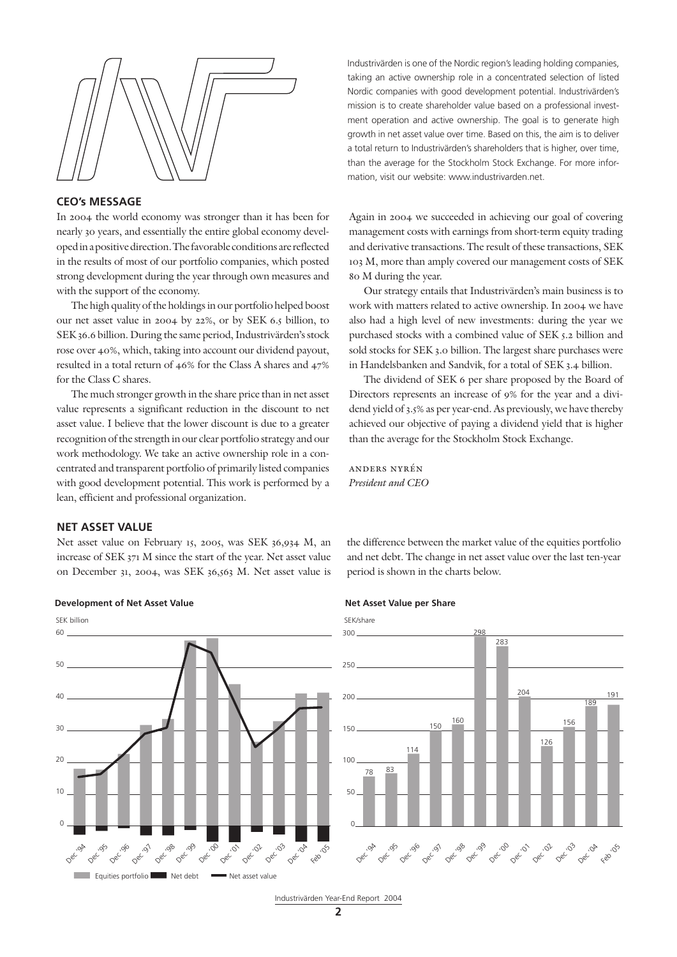

### **CEO's MESSAGE**

In 2004 the world economy was stronger than it has been for nearly 30 years, and essentially the entire global economy developed in a positive direction. The favorable conditions are reflected in the results of most of our portfolio companies, which posted strong development during the year through own measures and with the support of the economy.

The high quality of the holdings in our portfolio helped boost our net asset value in 2004 by 22%, or by SEK 6.5 billion, to SEK 36.6 billion. During the same period, Industrivärden's stock rose over 40%, which, taking into account our dividend payout, resulted in a total return of 46% for the Class A shares and 47% for the Class C shares.

The much stronger growth in the share price than in net asset value represents a significant reduction in the discount to net asset value. I believe that the lower discount is due to a greater recognition of the strength in our clear portfolio strategy and our work methodology. We take an active ownership role in a concentrated and transparent portfolio of primarily listed companies with good development potential. This work is performed by a lean, efficient and professional organization.

Industrivärden is one of the Nordic region's leading holding companies, taking an active ownership role in a concentrated selection of listed Nordic companies with good development potential. Industrivärden's mission is to create shareholder value based on a professional investment operation and active ownership. The goal is to generate high growth in net asset value over time. Based on this, the aim is to deliver a total return to Industrivärden's shareholders that is higher, over time, than the average for the Stockholm Stock Exchange. For more information, visit our website: www.industrivarden.net.

Again in 2004 we succeeded in achieving our goal of covering management costs with earnings from short-term equity trading and derivative transactions. The result of these transactions, SEK 103 M, more than amply covered our management costs of SEK 80 M during the year.

Our strategy entails that Industrivärden's main business is to work with matters related to active ownership. In 2004 we have also had a high level of new investments: during the year we purchased stocks with a combined value of SEK 5.2 billion and sold stocks for SEK 3.0 billion. The largest share purchases were in Handelsbanken and Sandvik, for a total of SEK 3.4 billion.

The dividend of SEK 6 per share proposed by the Board of Directors represents an increase of 9% for the year and a dividend yield of 3.5% as per year-end. As previously, we have thereby achieved our objective of paying a dividend yield that is higher than the average for the Stockholm Stock Exchange.

anders nyrén *President and CEO*

#### **NET ASSET VALUE**

Net asset value on February 15, 2005, was SEK 36,934 M, an increase of SEK 371 M since the start of the year. Net asset value on December 31, 2004, was SEK 36,563 M. Net asset value is the difference between the market value of the equities portfolio and net debt. The change in net asset value over the last ten-year period is shown in the charts below.

#### **Development of Net Asset Value Net Asset Value per Share Net Asset Value per Share**





Industrivärden Year-End Report 2004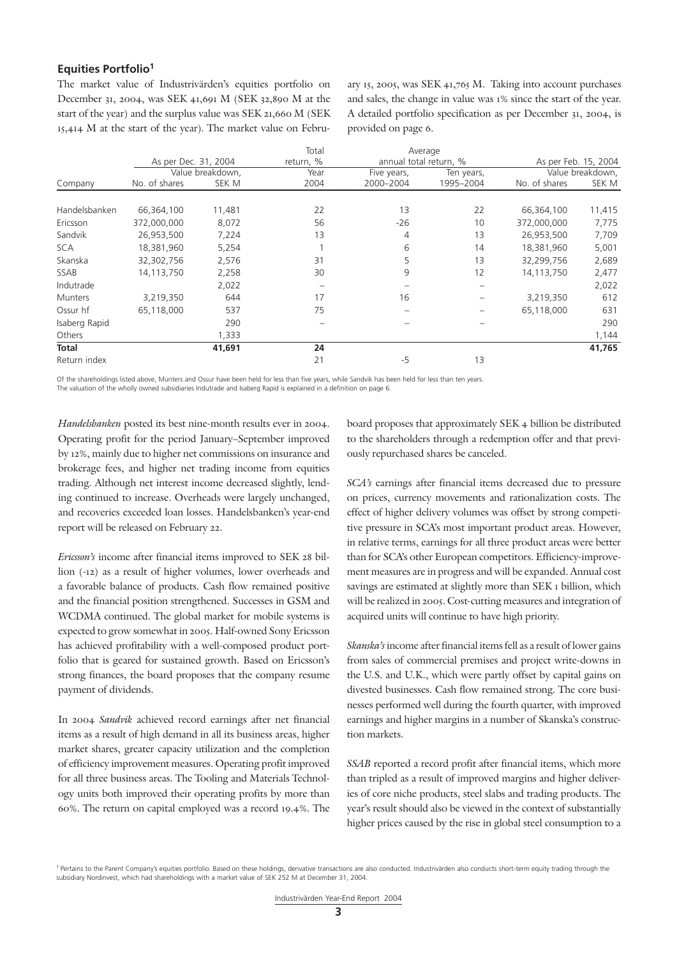## **Equities Portfolio1**

The market value of Industrivärden's equities portfolio on December 31, 2004, was SEK 41,691 M (SEK 32,890 M at the start of the year) and the surplus value was SEK 21,660 M (SEK 15,414 M at the start of the year). The market value on February 15, 2005, was SEK 41,765 M. Taking into account purchases and sales, the change in value was 1% since the start of the year. A detailed portfolio specification as per December 31, 2004, is provided on page 6.

|                |                      |                  | Total     | Average                |            |                      |                  |
|----------------|----------------------|------------------|-----------|------------------------|------------|----------------------|------------------|
|                | As per Dec. 31, 2004 |                  | return, % | annual total return, % |            | As per Feb. 15, 2004 |                  |
|                |                      | Value breakdown, | Year      | Five years,            | Ten years, |                      | Value breakdown, |
| Company        | No. of shares        | SEK M            | 2004      | 2000-2004              | 1995-2004  | No. of shares        | SEK M            |
|                |                      |                  |           |                        |            |                      |                  |
| Handelsbanken  | 66,364,100           | 11,481           | 22        | 13                     | 22         | 66,364,100           | 11,415           |
| Ericsson       | 372,000,000          | 8,072            | 56        | $-26$                  | 10         | 372,000,000          | 7,775            |
| Sandvik        | 26,953,500           | 7,224            | 13        | 4                      | 13         | 26,953,500           | 7,709            |
| <b>SCA</b>     | 18,381,960           | 5,254            |           | 6                      | 14         | 18,381,960           | 5,001            |
| Skanska        | 32,302,756           | 2,576            | 31        | 5                      | 13         | 32,299,756           | 2,689            |
| SSAB           | 14,113,750           | 2,258            | 30        | 9                      | 12         | 14,113,750           | 2,477            |
| Indutrade      |                      | 2,022            |           |                        |            |                      | 2,022            |
| <b>Munters</b> | 3,219,350            | 644              | 17        | 16                     |            | 3,219,350            | 612              |
| Ossur hf       | 65,118,000           | 537              | 75        |                        |            | 65,118,000           | 631              |
| Isaberg Rapid  |                      | 290              |           |                        |            |                      | 290              |
| Others         |                      | 1,333            |           |                        |            |                      | 1,144            |
| Total          |                      | 41,691           | 24        |                        |            |                      | 41,765           |
| Return index   |                      |                  | 21        | -5                     | 13         |                      |                  |

Of the shareholdings listed above, Munters and Ossur have been held for less than five years, while Sandvik has been held for less than ten years. The valuation of the wholly owned subsidiaries Indutrade and Isaberg Rapid is explained in a definition on page 6.

*Handelsbanken* posted its best nine-month results ever in 2004. Operating profit for the period January–September improved by 12%, mainly due to higher net commissions on insurance and brokerage fees, and higher net trading income from equities trading. Although net interest income decreased slightly, lending continued to increase. Overheads were largely unchanged, and recoveries exceeded loan losses. Handelsbanken's year-end report will be released on February 22.

*Ericsson's* income after financial items improved to SEK 28 billion (-12) as a result of higher volumes, lower overheads and a favorable balance of products. Cash flow remained positive and the financial position strengthened. Successes in GSM and WCDMA continued. The global market for mobile systems is expected to grow somewhat in 2005. Half-owned Sony Ericsson has achieved profitability with a well-composed product portfolio that is geared for sustained growth. Based on Ericsson's strong finances, the board proposes that the company resume payment of dividends.

In 2004 *Sandvik* achieved record earnings after net financial items as a result of high demand in all its business areas, higher market shares, greater capacity utilization and the completion of efficiency improvement measures. Operating profit improved for all three business areas. The Tooling and Materials Technology units both improved their operating profits by more than 60%. The return on capital employed was a record 19.4%. The

board proposes that approximately SEK 4 billion be distributed to the shareholders through a redemption offer and that previously repurchased shares be canceled.

*SCA's* earnings after financial items decreased due to pressure on prices, currency movements and rationalization costs. The effect of higher delivery volumes was offset by strong competitive pressure in SCA's most important product areas. However, in relative terms, earnings for all three product areas were better than for SCA's other European competitors. Efficiency-improvement measures are in progress and will be expanded. Annual cost savings are estimated at slightly more than SEK 1 billion, which will be realized in 2005. Cost-cutting measures and integration of acquired units will continue to have high priority.

*Skanska's* income after financial items fell as a result of lower gains from sales of commercial premises and project write-downs in the U.S. and U.K., which were partly offset by capital gains on divested businesses. Cash flow remained strong. The core businesses performed well during the fourth quarter, with improved earnings and higher margins in a number of Skanska's construction markets.

*SSAB* reported a record profit after financial items, which more than tripled as a result of improved margins and higher deliveries of core niche products, steel slabs and trading products. The year's result should also be viewed in the context of substantially higher prices caused by the rise in global steel consumption to a

<sup>&</sup>lt;sup>1</sup> Pertains to the Parent Company's equities portfolio. Based on these holdings, derivative transactions are also conducted. Industrivärden also conducts short-term equity trading through the subsidiary Nordinvest, which had shareholdings with a market value of SEK 252 M at December 31, 2004.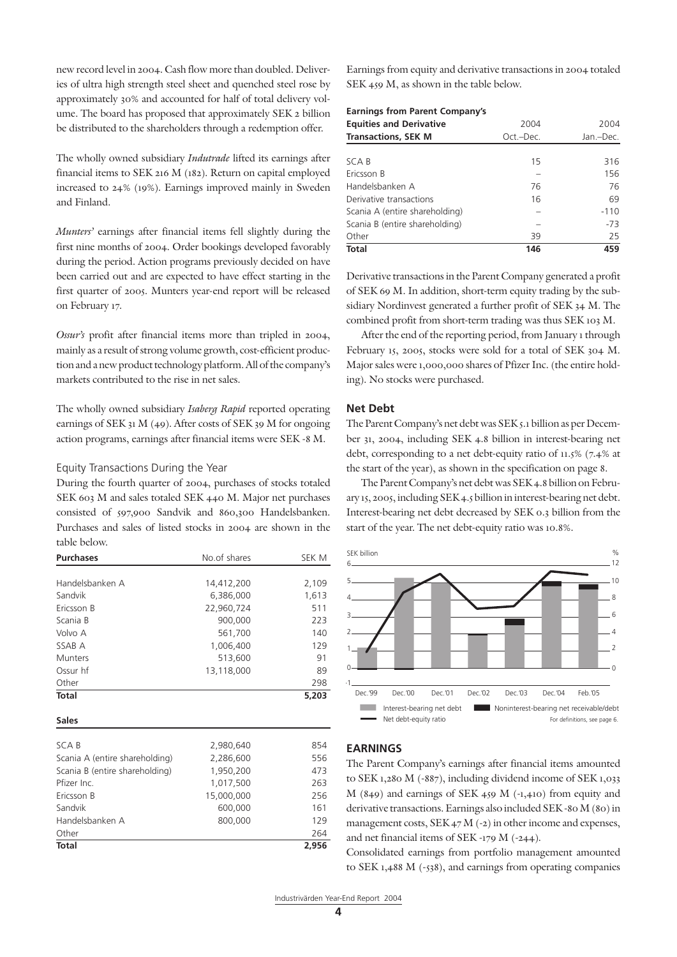new record level in 2004. Cash flow more than doubled. Deliveries of ultra high strength steel sheet and quenched steel rose by approximately 30% and accounted for half of total delivery volume. The board has proposed that approximately SEK 2 billion be distributed to the shareholders through a redemption offer.

The wholly owned subsidiary *Indutrade* lifted its earnings after financial items to SEK 216 M (182). Return on capital employed increased to 24% (19%). Earnings improved mainly in Sweden and Finland.

*Munters'* earnings after financial items fell slightly during the first nine months of 2004. Order bookings developed favorably during the period. Action programs previously decided on have been carried out and are expected to have effect starting in the first quarter of 2005. Munters year-end report will be released on February 17.

*Ossur's* profit after financial items more than tripled in 2004, mainly as a result of strong volume growth, cost-efficient production and a new product technology platform. All of the company's markets contributed to the rise in net sales.

The wholly owned subsidiary *Isaberg Rapid* reported operating earnings of SEK 31 M (49). After costs of SEK 39 M for ongoing action programs, earnings after financial items were SEK -8 M.

#### Equity Transactions During the Year

During the fourth quarter of 2004, purchases of stocks totaled SEK 603 M and sales totaled SEK 440 M. Major net purchases consisted of 597,900 Sandvik and 860,300 Handelsbanken. Purchases and sales of listed stocks in 2004 are shown in the table below.

| <b>Purchases</b>               | No.of shares | SEK M |
|--------------------------------|--------------|-------|
|                                |              |       |
| Handelsbanken A                | 14,412,200   | 2,109 |
| Sandvik                        | 6,386,000    | 1,613 |
| Ericsson B                     | 22,960,724   | 511   |
| Scania B                       | 900,000      | 223   |
| Volvo A                        | 561,700      | 140   |
| SSAB A                         | 1,006,400    | 129   |
| <b>Munters</b>                 | 513,600      | 91    |
| Ossur hf                       | 13,118,000   | 89    |
| Other                          |              | 298   |
| <b>Total</b>                   |              | 5,203 |
|                                |              |       |
| <b>Sales</b>                   |              |       |
|                                |              |       |
| SCA B                          | 2,980,640    | 854   |
| Scania A (entire shareholding) | 2,286,600    | 556   |
| Scania B (entire shareholding) | 1,950,200    | 473   |
| Pfizer Inc.                    | 1,017,500    | 263   |
| Ericsson B                     | 15,000,000   | 256   |
| Sandvik                        | 600,000      | 161   |
| Handelsbanken A                | 800,000      | 129   |
| Other                          |              | 264   |
| <b>Total</b>                   |              | 2,956 |

Earnings from equity and derivative transactions in 2004 totaled SEK 459 M, as shown in the table below.

| <b>Equities and Derivative</b> | 2004      | 2004      |
|--------------------------------|-----------|-----------|
| <b>Transactions, SEK M</b>     | Oct.-Dec. | Jan.-Dec. |
|                                |           |           |
| <b>SCAB</b>                    | 15        | 316       |
| Ericsson B                     |           | 156       |
| Handelsbanken A                | 76        | 76        |
| Derivative transactions        | 16        | 69        |
| Scania A (entire shareholding) |           | $-110$    |
| Scania B (entire shareholding) |           | $-73$     |
| Other                          | 39        | 25        |
| <b>Total</b>                   | 146       | 459       |

Derivative transactions in the Parent Company generated a profit of SEK 69 M. In addition, short-term equity trading by the subsidiary Nordinvest generated a further profit of SEK 34 M. The combined profit from short-term trading was thus SEK 103 M.

After the end of the reporting period, from January 1 through February 15, 2005, stocks were sold for a total of SEK 304 M. Major sales were 1,000,000 shares of Pfizer Inc. (the entire holding). No stocks were purchased.

#### **Net Debt**

The Parent Company's net debt was SEK 5.1 billion as per December 31, 2004, including SEK 4.8 billion in interest-bearing net debt, corresponding to a net debt-equity ratio of 11.5% (7.4% at the start of the year), as shown in the specification on page 8.

The Parent Company's net debt was SEK 4.8 billion on February 15, 2005, including SEK 4.5 billion in interest-bearing net debt. Interest-bearing net debt decreased by SEK 0.3 billion from the start of the year. The net debt-equity ratio was 10.8%.



#### **EARNINGS**

The Parent Company's earnings after financial items amounted to SEK 1,280 M (-887), including dividend income of SEK 1,033 M (849) and earnings of SEK 459 M (-1,410) from equity and derivative transactions. Earnings also included SEK -80 M (80) in management costs, SEK 47 M (-2) in other income and expenses, and net financial items of SEK -179 M (-244).

Consolidated earnings from portfolio management amounted to SEK 1,488 M (-538), and earnings from operating companies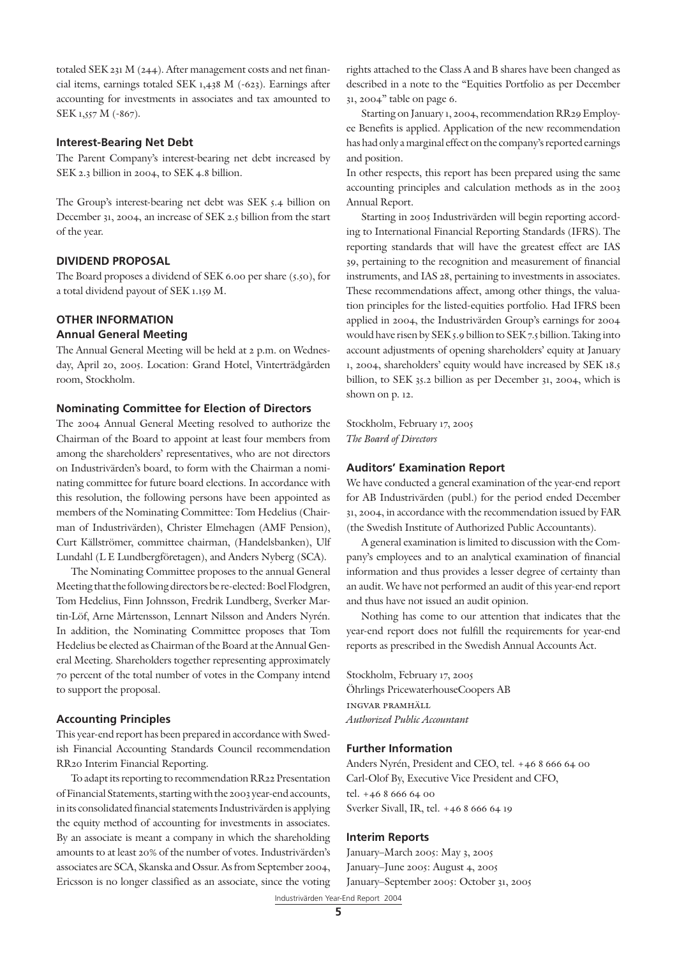totaled SEK 231 M (244). After management costs and net financial items, earnings totaled SEK 1,438 M (-623). Earnings after accounting for investments in associates and tax amounted to SEK 1,557 M (-867).

### **Interest-Bearing Net Debt**

The Parent Company's interest-bearing net debt increased by SEK 2.3 billion in 2004, to SEK 4.8 billion.

The Group's interest-bearing net debt was SEK 5.4 billion on December 31, 2004, an increase of SEK 2.5 billion from the start of the year.

#### **DIVIDEND PROPOSAL**

The Board proposes a dividend of SEK 6.00 per share (5.50), for a total dividend payout of SEK 1.159 M.

## **OTHER INFORMATION**

## **Annual General Meeting**

The Annual General Meeting will be held at 2 p.m. on Wednesday, April 20, 2005. Location: Grand Hotel, Vinterträdgården room, Stockholm.

## **Nominating Committee for Election of Directors**

The 2004 Annual General Meeting resolved to authorize the Chairman of the Board to appoint at least four members from among the shareholders' representatives, who are not directors on Industrivärden's board, to form with the Chairman a nominating committee for future board elections. In accordance with this resolution, the following persons have been appointed as members of the Nominating Committee: Tom Hedelius (Chairman of Industrivärden), Christer Elmehagen (AMF Pension), Curt Källströmer, committee chairman, (Handelsbanken), Ulf Lundahl (L E Lundbergföretagen), and Anders Nyberg (SCA).

The Nominating Committee proposes to the annual General Meeting that the following directors be re-elected: Boel Flodgren, Tom Hedelius, Finn Johnsson, Fredrik Lundberg, Sverker Martin-Löf, Arne Mårtensson, Lennart Nilsson and Anders Nyrén. In addition, the Nominating Committee proposes that Tom Hedelius be elected as Chairman of the Board at the Annual General Meeting. Shareholders together representing approximately 70 percent of the total number of votes in the Company intend to support the proposal.

#### **Accounting Principles**

This year-end report has been prepared in accordance with Swedish Financial Accounting Standards Council recommendation RR20 Interim Financial Reporting.

To adapt its reporting to recommendation RR22 Presentation of Financial Statements, starting with the 2003 year-end accounts, in its consolidated financial statements Industrivärden is applying the equity method of accounting for investments in associates. By an associate is meant a company in which the shareholding amounts to at least 20% of the number of votes. Industrivärden's associates are SCA, Skanska and Ossur. As from September 2004, Ericsson is no longer classified as an associate, since the voting rights attached to the Class A and B shares have been changed as described in a note to the "Equities Portfolio as per December 31, 2004" table on page 6.

Starting on January 1, 2004, recommendation RR29 Employee Benefits is applied. Application of the new recommendation has had only a marginal effect on the company's reported earnings and position.

In other respects, this report has been prepared using the same accounting principles and calculation methods as in the 2003 Annual Report.

Starting in 2005 Industrivärden will begin reporting according to International Financial Reporting Standards (IFRS). The reporting standards that will have the greatest effect are IAS 39, pertaining to the recognition and measurement of financial instruments, and IAS 28, pertaining to investments in associates. These recommendations affect, among other things, the valuation principles for the listed-equities portfolio. Had IFRS been applied in 2004, the Industrivärden Group's earnings for 2004 would have risen by SEK 5.9 billion to SEK 7.5 billion. Taking into account adjustments of opening shareholders' equity at January 1, 2004, shareholders' equity would have increased by SEK 18.5 billion, to SEK 35.2 billion as per December 31, 2004, which is shown on p. 12.

Stockholm, February 17, 2005 *The Board of Directors*

#### **Auditors' Examination Report**

We have conducted a general examination of the year-end report for AB Industrivärden (publ.) for the period ended December 31, 2004, in accordance with the recommendation issued by FAR (the Swedish Institute of Authorized Public Accountants).

A general examination is limited to discussion with the Company's employees and to an analytical examination of financial information and thus provides a lesser degree of certainty than an audit. We have not performed an audit of this year-end report and thus have not issued an audit opinion.

Nothing has come to our attention that indicates that the year-end report does not fulfill the requirements for year-end reports as prescribed in the Swedish Annual Accounts Act.

Stockholm, February 17, 2005 Öhrlings PricewaterhouseCoopers AB ingvar pramhäll *Authorized Public Accountant*

#### **Further Information**

Anders Nyrén, President and CEO, tel. +46 8 666 64 00 Carl-Olof By, Executive Vice President and CFO, tel. +46 8 666 64 00 Sverker Sivall, IR, tel. +46 8 666 64 19

#### **Interim Reports**

Industrivärden Year-End Report 2004 January–March 2005: May 3, 2005 January–June 2005: August 4, 2005 January–September 2005: October 31, 2005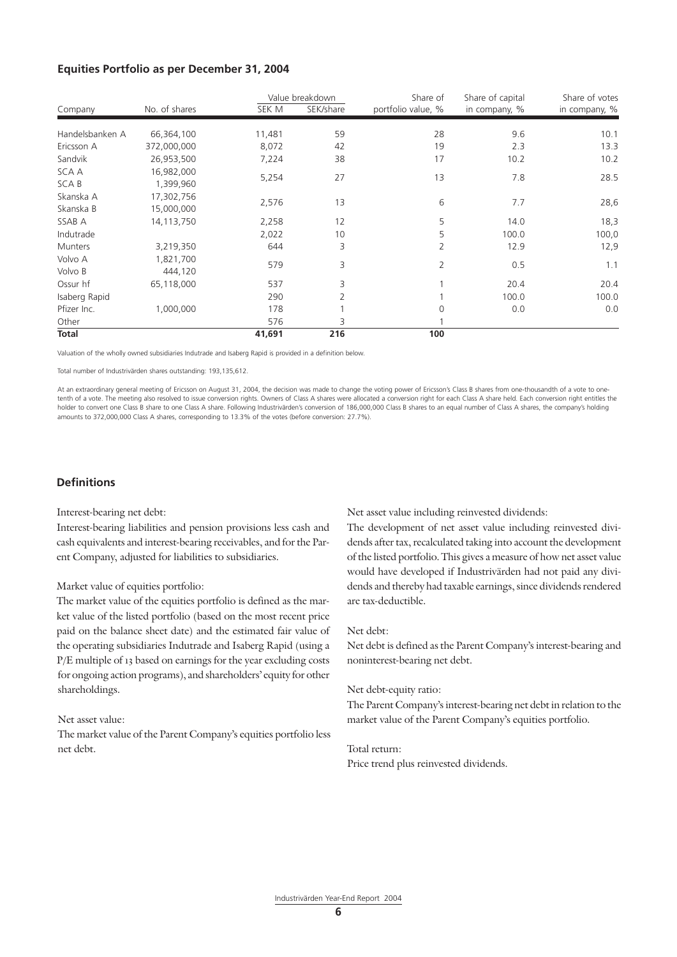#### **Equities Portfolio as per December 31, 2004**

|                 |               |        | Value breakdown | Share of           | Share of capital | Share of votes |
|-----------------|---------------|--------|-----------------|--------------------|------------------|----------------|
| Company         | No. of shares | SEK M  | SEK/share       | portfolio value, % | in company, %    | in company, %  |
| Handelsbanken A | 66,364,100    | 11,481 | 59              | 28                 | 9.6              | 10.1           |
| Ericsson A      | 372,000,000   | 8,072  | 42              | 19                 | 2.3              | 13.3           |
| Sandvik         | 26,953,500    | 7,224  | 38              | 17                 | 10.2             | 10.2           |
| SCA A           | 16,982,000    |        |                 |                    |                  |                |
| <b>SCAB</b>     | 1,399,960     | 5,254  | 27              | 13                 | 7.8              | 28.5           |
| Skanska A       | 17,302,756    |        |                 |                    |                  | 28,6           |
| Skanska B       | 15,000,000    | 2,576  | 13              | 6                  | 7.7              |                |
| SSAB A          | 14,113,750    | 2,258  | 12              | 5                  | 14.0             | 18,3           |
| Indutrade       |               | 2,022  | 10              | 5                  | 100.0            | 100,0          |
| <b>Munters</b>  | 3,219,350     | 644    | 3               | 2                  | 12.9             | 12,9           |
| Volvo A         | 1,821,700     | 579    | 3               | $\overline{2}$     | 0.5              | 1.1            |
| Volvo B         | 444,120       |        |                 |                    |                  |                |
| Ossur hf        | 65,118,000    | 537    | 3               |                    | 20.4             | 20.4           |
| Isaberg Rapid   |               | 290    | 2               |                    | 100.0            | 100.0          |
| Pfizer Inc.     | 1,000,000     | 178    |                 | 0                  | 0.0              | 0.0            |
| Other           |               | 576    | 3               |                    |                  |                |
| <b>Total</b>    |               | 41,691 | 216             | 100                |                  |                |

Valuation of the wholly owned subsidiaries Indutrade and Isaberg Rapid is provided in a definition below.

Total number of Industrivärden shares outstanding: 193,135,612.

At an extraordinary general meeting of Ericsson on August 31, 2004, the decision was made to change the voting power of Ericsson's Class B shares from one-thousandth of a vote to onetenth of a vote. The meeting also resolved to issue conversion rights. Owners of Class A shares were allocated a conversion right for each Class A share held. Each conversion right entitles the holder to convert one Class B share to one Class A share. Following Industrivärden's conversion of 186,000,000 Class B shares to an equal number of Class A shares, the company's holding amounts to 372,000,000 Class A shares, corresponding to 13.3% of the votes (before conversion: 27.7%).

## **Definitions**

Interest-bearing net debt:

Interest-bearing liabilities and pension provisions less cash and cash equivalents and interest-bearing receivables, and for the Parent Company, adjusted for liabilities to subsidiaries.

#### Market value of equities portfolio:

The market value of the equities portfolio is defined as the market value of the listed portfolio (based on the most recent price paid on the balance sheet date) and the estimated fair value of the operating subsidiaries Indutrade and Isaberg Rapid (using a P/E multiple of 13 based on earnings for the year excluding costs for ongoing action programs), and shareholders' equity for other shareholdings.

#### Net asset value:

The market value of the Parent Company's equities portfolio less net debt.

Net asset value including reinvested dividends:

The development of net asset value including reinvested dividends after tax, recalculated taking into account the development of the listed portfolio. This gives a measure of how net asset value would have developed if Industrivärden had not paid any dividends and thereby had taxable earnings, since dividends rendered are tax-deductible.

#### Net debt:

Net debt is defined as the Parent Company's interest-bearing and noninterest-bearing net debt.

#### Net debt-equity ratio:

The Parent Company's interest-bearing net debt in relation to the market value of the Parent Company's equities portfolio.

#### Total return:

Price trend plus reinvested dividends.

**6**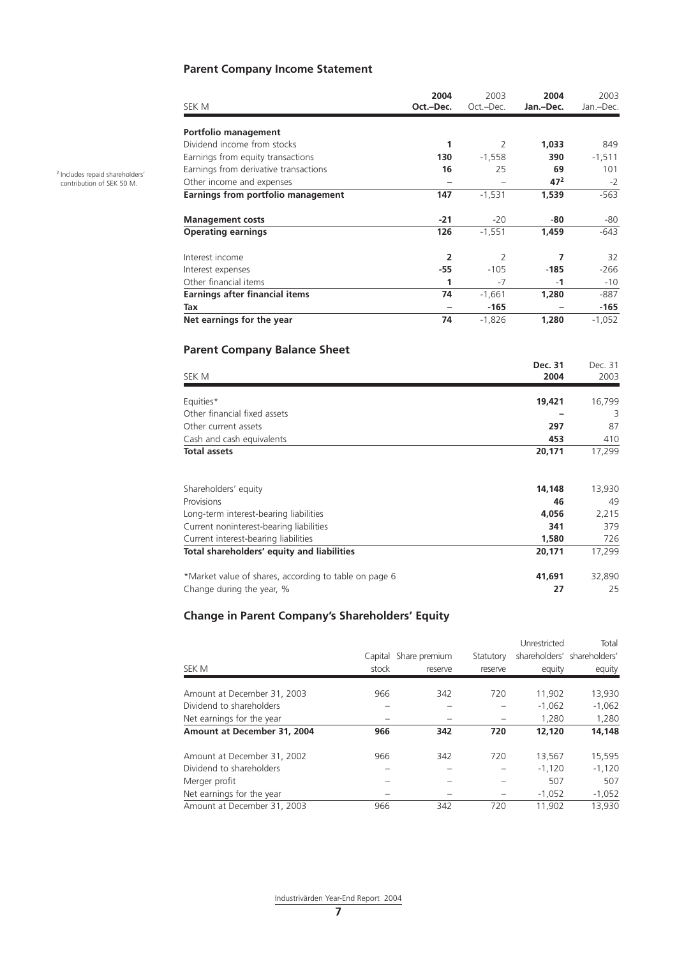## **Parent Company Income Statement**

| SEK M                                 | 2004<br>Oct.-Dec. | 2003<br>Oct.-Dec. | 2004<br>Jan.-Dec. | 2003<br>Jan.-Dec. |
|---------------------------------------|-------------------|-------------------|-------------------|-------------------|
|                                       |                   |                   |                   |                   |
| Portfolio management                  |                   |                   |                   |                   |
| Dividend income from stocks           | 1                 | $\overline{2}$    | 1,033             | 849               |
| Earnings from equity transactions     | 130               | $-1,558$          | 390               | $-1,511$          |
| Earnings from derivative transactions | 16                | 25                | 69                | 101               |
| Other income and expenses             |                   |                   | 47 <sup>2</sup>   | $-2$              |
| Earnings from portfolio management    | 147               | $-1,531$          | 1,539             | $-563$            |
|                                       |                   |                   |                   |                   |
| <b>Management costs</b>               | $-21$             | $-20$             | -80               | -80               |
| <b>Operating earnings</b>             | 126               | $-1,551$          | 1,459             | $-643$            |
|                                       |                   |                   |                   |                   |
| Interest income                       | $\overline{2}$    | $\overline{2}$    | 7                 | 32                |
| Interest expenses                     | -55               | $-105$            | $-185$            | -266              |
| Other financial items                 | 1                 | -7                | $-1$              | -10               |
| Earnings after financial items        | 74                | $-1,661$          | 1,280             | -887              |
| Tax                                   |                   | -165              |                   | -165              |
| Net earnings for the year             | 74                | $-1,826$          | 1,280             | $-1,052$          |

## **Parent Company Balance Sheet**

| SEK M                                                 | Dec. 31<br>2004 | Dec. 31<br>2003 |
|-------------------------------------------------------|-----------------|-----------------|
| Equities*                                             | 19,421          | 16,799          |
| Other financial fixed assets                          |                 | 3               |
| Other current assets                                  | 297             | 87              |
| Cash and cash equivalents                             | 453             | 410             |
| <b>Total assets</b>                                   | 20,171          | 17,299          |
| Shareholders' equity                                  | 14,148          | 13,930          |
| Provisions                                            | 46              | 49              |
| Long-term interest-bearing liabilities                | 4,056           | 2,215           |
| Current noninterest-bearing liabilities               | 341             | 379             |
| Current interest-bearing liabilities                  | 1,580           | 726             |
| Total shareholders' equity and liabilities            | 20,171          | 17,299          |
| *Market value of shares, according to table on page 6 | 41,691          | 32,890          |
| Change during the year, %                             | 27              | 25              |

## **Change in Parent Company's Shareholders' Equity**

|                             |       |                       |           | Unrestricted | Total                       |
|-----------------------------|-------|-----------------------|-----------|--------------|-----------------------------|
|                             |       | Capital Share premium | Statutory |              | shareholders' shareholders' |
| SEK M                       | stock | reserve               | reserve   | equity       | equity                      |
| Amount at December 31, 2003 | 966   | 342                   | 720       | 11,902       | 13,930                      |
| Dividend to shareholders    |       |                       |           | $-1,062$     | $-1,062$                    |
| Net earnings for the year   |       |                       |           | 1,280        | 1,280                       |
| Amount at December 31, 2004 | 966   | 342                   | 720       | 12,120       | 14,148                      |
| Amount at December 31, 2002 | 966   | 342                   | 720       | 13,567       | 15,595                      |
| Dividend to shareholders    |       |                       |           | $-1.120$     | $-1.120$                    |
| Merger profit               |       |                       |           | 507          | 507                         |
| Net earnings for the year   |       |                       |           | $-1,052$     | $-1,052$                    |
| Amount at December 31, 2003 | 966   | 342                   | 720       | 11.902       | 13,930                      |

2 Includes repaid shareholders' contribution of SEK 50 M.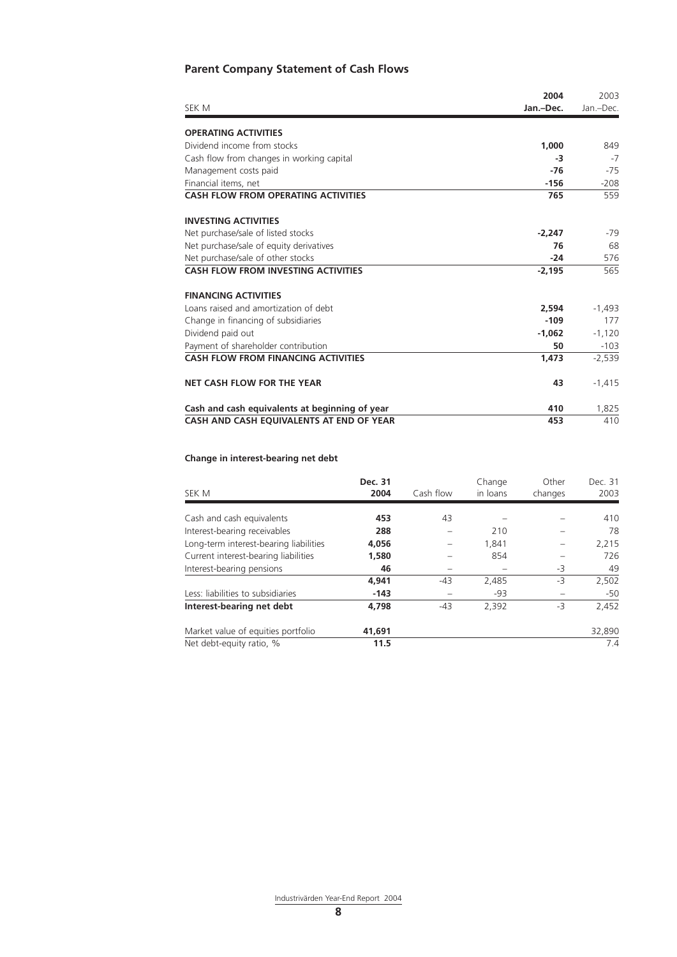## **Parent Company Statement of Cash Flows**

|                                                | 2004      | 2003      |
|------------------------------------------------|-----------|-----------|
| SEK M                                          | Jan.-Dec. | Jan.-Dec. |
| <b>OPERATING ACTIVITIES</b>                    |           |           |
| Dividend income from stocks                    | 1,000     | 849       |
| Cash flow from changes in working capital      | -3        | $-7$      |
| Management costs paid                          | $-76$     | $-75$     |
| Financial items, net                           | $-156$    | $-208$    |
| <b>CASH FLOW FROM OPERATING ACTIVITIES</b>     | 765       | 559       |
| <b>INVESTING ACTIVITIES</b>                    |           |           |
| Net purchase/sale of listed stocks             | $-2,247$  | -79       |
| Net purchase/sale of equity derivatives        | 76        | 68        |
| Net purchase/sale of other stocks              | $-24$     | 576       |
| <b>CASH FLOW FROM INVESTING ACTIVITIES</b>     | $-2,195$  | 565       |
| <b>FINANCING ACTIVITIES</b>                    |           |           |
| Loans raised and amortization of debt          | 2.594     | $-1,493$  |
| Change in financing of subsidiaries            | $-109$    | 177       |
| Dividend paid out                              | $-1.062$  | $-1.120$  |
| Payment of shareholder contribution            | 50        | $-103$    |
| <b>CASH FLOW FROM FINANCING ACTIVITIES</b>     | 1,473     | $-2,539$  |
| NET CASH FLOW FOR THE YEAR                     | 43        | $-1,415$  |
| Cash and cash equivalents at beginning of year | 410       | 1,825     |
| CASH AND CASH EQUIVALENTS AT END OF YEAR       | 453       | 410       |

## **Change in interest-bearing net debt**

| SEK M                                  | Dec. 31<br>2004 | Cash flow | Change<br>in loans | Other<br>changes | Dec. 31<br>2003 |
|----------------------------------------|-----------------|-----------|--------------------|------------------|-----------------|
|                                        |                 |           |                    |                  |                 |
| Cash and cash equivalents              | 453             | 43        |                    |                  | 410             |
| Interest-bearing receivables           | 288             |           | 210                |                  | 78              |
| Long-term interest-bearing liabilities | 4,056           |           | 1,841              |                  | 2,215           |
| Current interest-bearing liabilities   | 1,580           |           | 854                |                  | 726             |
| Interest-bearing pensions              | 46              |           |                    | $-3$             | 49              |
|                                        | 4,941           | $-43$     | 2,485              | -3               | 2,502           |
| Less: liabilities to subsidiaries      | $-143$          |           | $-93$              |                  | $-50$           |
| Interest-bearing net debt              | 4.798           | $-43$     | 2,392              | $-3$             | 2,452           |
| Market value of equities portfolio     | 41,691          |           |                    |                  | 32,890          |
| Net debt-equity ratio, %               | 11.5            |           |                    |                  | 7.4             |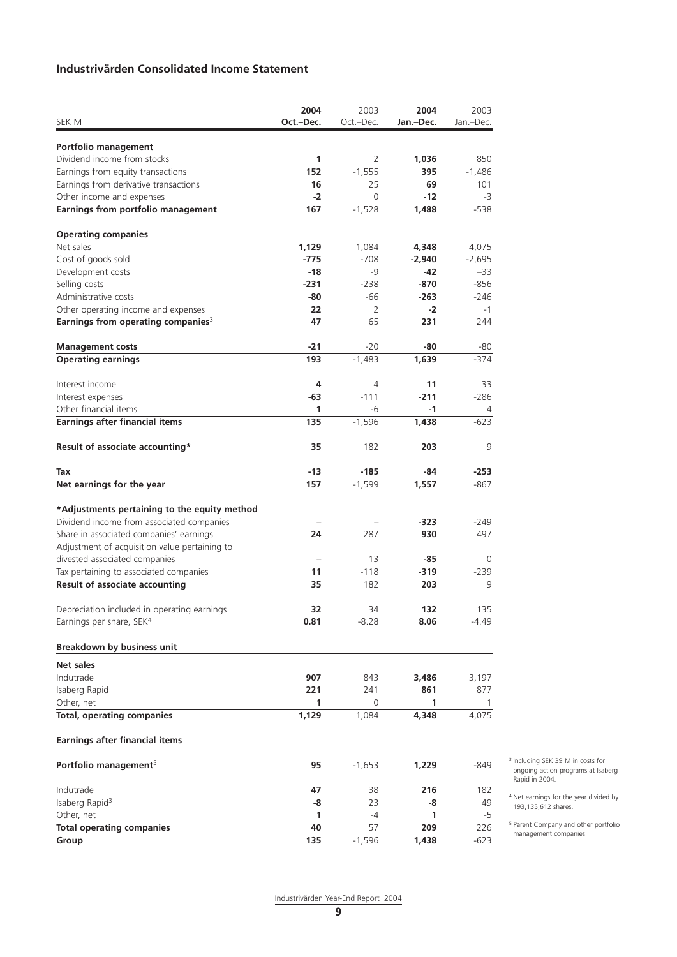## **Industrivärden Consolidated Income Statement**

|                                                                                           | 2004       | 2003           | 2004      | 2003           |
|-------------------------------------------------------------------------------------------|------------|----------------|-----------|----------------|
| SEK M                                                                                     | Oct.-Dec.  | Oct.-Dec.      | Jan.-Dec. | Jan.-Dec.      |
| Portfolio management                                                                      |            |                |           |                |
| Dividend income from stocks                                                               | 1          | 2              | 1,036     | 850            |
| Earnings from equity transactions                                                         | 152        | $-1,555$       | 395       | $-1,486$       |
| Earnings from derivative transactions                                                     | 16         | 25             | 69        | 101            |
| Other income and expenses                                                                 | $-2$       | 0              | $-12$     | -3             |
| Earnings from portfolio management                                                        | 167        | $-1,528$       | 1,488     | $-538$         |
| <b>Operating companies</b>                                                                |            |                |           |                |
| Net sales                                                                                 | 1,129      | 1,084          | 4,348     | 4,075          |
| Cost of goods sold                                                                        | $-775$     | $-708$         | $-2,940$  | $-2,695$       |
| Development costs                                                                         | $-18$      | -9             | $-42$     | -33            |
| Selling costs                                                                             | $-231$     | $-238$         | $-870$    | $-856$         |
| Administrative costs                                                                      | -80        | -66            | $-263$    | -246           |
| Other operating income and expenses                                                       | 22         | 2              | -2        | $-1$           |
| Earnings from operating companies <sup>3</sup>                                            | 47         | 65             | 231       | 244            |
| <b>Management costs</b>                                                                   | $-21$      | $-20$          | -80       | -80            |
| <b>Operating earnings</b>                                                                 | 193        | $-1,483$       | 1,639     | $-374$         |
| Interest income                                                                           | 4          | 4              | 11        | 33             |
| Interest expenses                                                                         | -63        | $-111$         | $-211$    | $-286$         |
| Other financial items                                                                     | 1          | -6             | $-1$      | $\overline{4}$ |
| <b>Earnings after financial items</b>                                                     | 135        | $-1,596$       | 1,438     | $-623$         |
| Result of associate accounting*                                                           | 35         | 182            | 203       | 9              |
| Tax                                                                                       | $-13$      | $-185$         | -84       | -253           |
| Net earnings for the year                                                                 | 157        | $-1,599$       | 1,557     | -867           |
|                                                                                           |            |                |           |                |
| *Adjustments pertaining to the equity method<br>Dividend income from associated companies |            |                | $-323$    |                |
| Share in associated companies' earnings                                                   | 24         | 287            | 930       | -249<br>497    |
| Adjustment of acquisition value pertaining to                                             |            |                |           |                |
| divested associated companies                                                             |            | 13             | -85       | $\Omega$       |
| Tax pertaining to associated companies                                                    | 11         | $-118$         | $-319$    | $-239$         |
| Result of associate accounting                                                            | 35         | 182            | 203       | 9              |
|                                                                                           |            |                | 132       |                |
| Depreciation included in operating earnings<br>Earnings per share, SEK <sup>4</sup>       | 32<br>0.81 | 34<br>$-8.28$  | 8.06      | 135<br>-4.49   |
|                                                                                           |            |                |           |                |
| Breakdown by business unit                                                                |            |                |           |                |
| Net sales                                                                                 |            |                |           |                |
| Indutrade                                                                                 | 907        | 843            | 3,486     | 3,197          |
| Isaberg Rapid                                                                             | 221        | 241            | 861       | 877            |
| Other, net                                                                                | 1          | $\overline{0}$ | 1         | -1             |
| <b>Total, operating companies</b>                                                         | 1,129      | 1,084          | 4,348     | 4,075          |
| <b>Earnings after financial items</b>                                                     |            |                |           |                |
| Portfolio management <sup>5</sup>                                                         | 95         | $-1,653$       | 1,229     | -849           |
| Indutrade                                                                                 | 47         | 38             | 216       | 182            |
| Isaberg Rapid <sup>3</sup>                                                                | -8         | 23             | -8        | 49             |
| Other, net                                                                                | 1          | -4             | 1         | -5             |
| <b>Total operating companies</b>                                                          | 40         | 57             | 209       | 226            |
| Group                                                                                     | 135        | $-1,596$       | 1,438     | -623           |

<sup>3</sup> Including SEK 39 M in costs for ongoing action programs at Isaberg Rapid in 2004.

<sup>4</sup> Net earnings for the year divided by 193,135,612 shares.

<sup>5</sup> Parent Company and other portfolio management companies.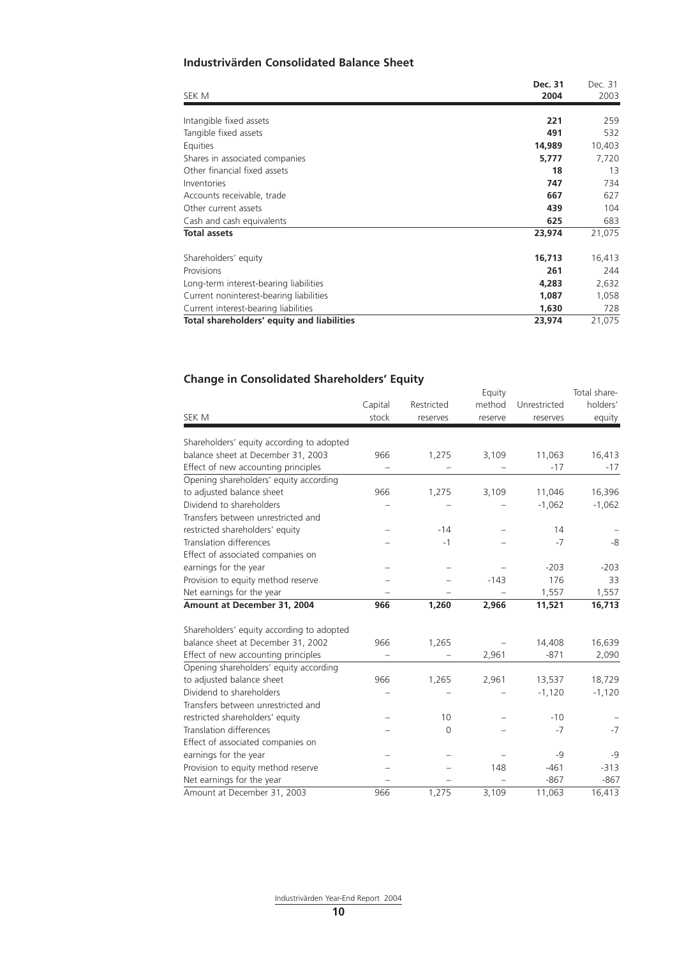## **Industrivärden Consolidated Balance Sheet**

| SEK M                                      | Dec. 31<br>2004 | Dec. 31<br>2003 |
|--------------------------------------------|-----------------|-----------------|
| Intangible fixed assets                    | 221             | 259             |
| Tangible fixed assets                      | 491             | 532             |
| Equities                                   | 14,989          | 10,403          |
| Shares in associated companies             | 5,777           | 7,720           |
| Other financial fixed assets               | 18              | 13              |
| Inventories                                | 747             | 734             |
| Accounts receivable, trade                 | 667             | 627             |
| Other current assets                       | 439             | 104             |
| Cash and cash equivalents                  | 625             | 683             |
| <b>Total assets</b>                        | 23,974          | 21,075          |
| Shareholders' equity                       | 16,713          | 16,413          |
| Provisions                                 | 261             | 244             |
| Long-term interest-bearing liabilities     | 4,283           | 2,632           |
| Current noninterest-bearing liabilities    | 1,087           | 1,058           |
| Current interest-bearing liabilities       | 1,630           | 728             |
| Total shareholders' equity and liabilities | 23,974          | 21,075          |

## **Change in Consolidated Shareholders' Equity**

| SEK M                                     | Capital<br>stock | Restricted<br>reserves | Equity<br>method<br>reserve | Unrestricted<br>reserves | Total share-<br>holders'<br>equity |
|-------------------------------------------|------------------|------------------------|-----------------------------|--------------------------|------------------------------------|
| Shareholders' equity according to adopted |                  |                        |                             |                          |                                    |
| balance sheet at December 31, 2003        | 966              | 1,275                  | 3,109                       | 11,063                   | 16,413                             |
| Effect of new accounting principles       |                  |                        |                             | $-17$                    | $-17$                              |
| Opening shareholders' equity according    |                  |                        |                             |                          |                                    |
| to adjusted balance sheet                 | 966              | 1,275                  | 3,109                       | 11,046                   | 16,396                             |
| Dividend to shareholders                  |                  |                        |                             | $-1,062$                 | $-1,062$                           |
| Transfers between unrestricted and        |                  |                        |                             |                          |                                    |
| restricted shareholders' equity           |                  | $-14$                  |                             | 14                       |                                    |
| <b>Translation differences</b>            |                  | $-1$                   |                             | $-7$                     | -8                                 |
| Effect of associated companies on         |                  |                        |                             |                          |                                    |
| earnings for the year                     |                  |                        |                             | $-203$                   | $-203$                             |
| Provision to equity method reserve        |                  |                        | $-143$                      | 176                      | 33                                 |
| Net earnings for the year                 |                  |                        |                             | 1,557                    | 1,557                              |
| Amount at December 31, 2004               | 966              | 1,260                  | 2,966                       | 11,521                   | 16,713                             |
| Shareholders' equity according to adopted |                  |                        |                             |                          |                                    |
| balance sheet at December 31, 2002        | 966              | 1,265                  |                             | 14,408                   | 16,639                             |
| Effect of new accounting principles       |                  |                        | 2,961                       | $-871$                   | 2,090                              |
| Opening shareholders' equity according    |                  |                        |                             |                          |                                    |
| to adjusted balance sheet                 | 966              | 1,265                  | 2,961                       | 13,537                   | 18,729                             |
| Dividend to shareholders                  |                  |                        |                             | $-1,120$                 | $-1,120$                           |
| Transfers between unrestricted and        |                  |                        |                             |                          |                                    |
| restricted shareholders' equity           |                  | 10                     |                             | $-10$                    |                                    |
| <b>Translation differences</b>            |                  | $\Omega$               |                             | $-7$                     | $-7$                               |
| Effect of associated companies on         |                  |                        |                             |                          |                                    |
| earnings for the year                     |                  |                        |                             | $-9$                     | $-9$                               |
| Provision to equity method reserve        |                  |                        | 148                         | $-461$                   | $-313$                             |
| Net earnings for the year                 |                  |                        |                             | $-867$                   | $-867$                             |
| Amount at December 31, 2003               | 966              | 1.275                  | 3,109                       | 11,063                   | 16,413                             |

Industrivärden Year-End Report 2004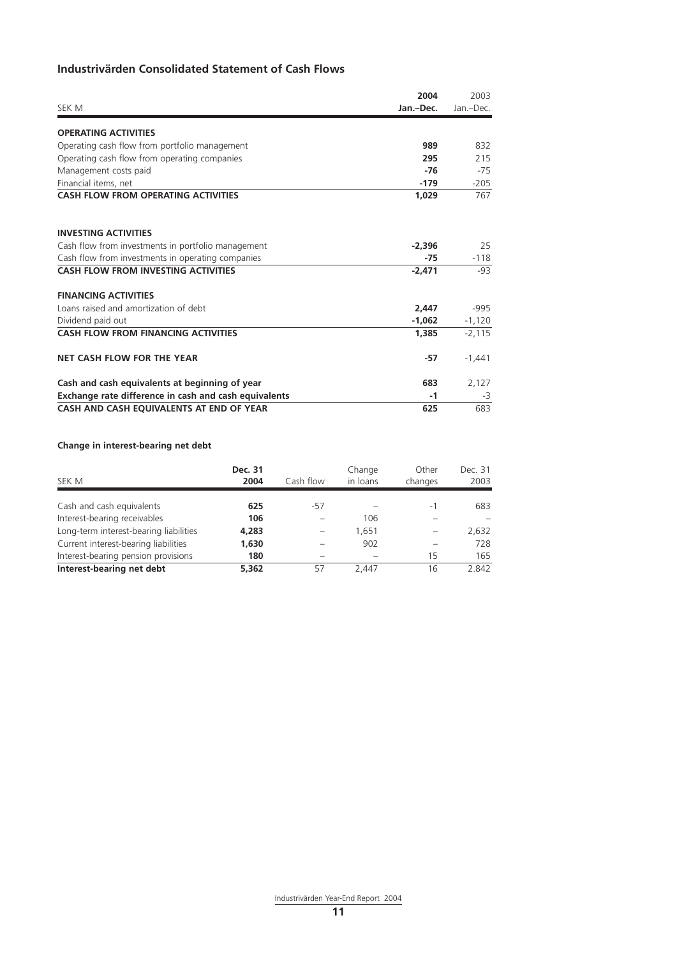## **Industrivärden Consolidated Statement of Cash Flows**

| SEK M                                                 | 2004<br>Jan.-Dec. | 2003<br>Jan.-Dec. |
|-------------------------------------------------------|-------------------|-------------------|
| <b>OPERATING ACTIVITIES</b>                           |                   |                   |
| Operating cash flow from portfolio management         | 989               | 832               |
| Operating cash flow from operating companies          | 295               | 215               |
| Management costs paid                                 | $-76$             | $-75$             |
| Financial items, net                                  | $-179$            | $-205$            |
| <b>CASH FLOW FROM OPERATING ACTIVITIES</b>            | 1.029             | 767               |
| <b>INVESTING ACTIVITIES</b>                           |                   |                   |
| Cash flow from investments in portfolio management    | $-2.396$          | 25                |
| Cash flow from investments in operating companies     | $-75$             | $-118$            |
| <b>CASH FLOW FROM INVESTING ACTIVITIES</b>            | $-2,471$          | -93               |
| <b>FINANCING ACTIVITIES</b>                           |                   |                   |
| Loans raised and amortization of debt                 | 2.447             | $-995$            |
| Dividend paid out                                     | $-1,062$          | $-1,120$          |
| <b>CASH FLOW FROM FINANCING ACTIVITIES</b>            | 1.385             | $-2,115$          |
| <b>NET CASH FLOW FOR THE YEAR</b>                     | $-57$             | $-1,441$          |
| Cash and cash equivalents at beginning of year        | 683               | 2,127             |
| Exchange rate difference in cash and cash equivalents | $-1$              | -3                |
| CASH AND CASH EQUIVALENTS AT END OF YEAR              | 625               | 683               |

## **Change in interest-bearing net debt**

| SEK M                                  | Dec. 31<br>2004 | Cash flow | Change<br>in loans | Other<br>changes | Dec. 31<br>2003 |
|----------------------------------------|-----------------|-----------|--------------------|------------------|-----------------|
| Cash and cash equivalents              | 625             | -57       |                    | -1               | 683             |
| Interest-bearing receivables           | 106             |           | 106                |                  |                 |
| Long-term interest-bearing liabilities | 4,283           |           | 1.651              |                  | 2,632           |
| Current interest-bearing liabilities   | 1,630           |           | 902                |                  | 728             |
| Interest-bearing pension provisions    | 180             |           |                    | 15               | 165             |
| Interest-bearing net debt              | 5.362           | 57        | 2.447              | 16               | 2.842           |